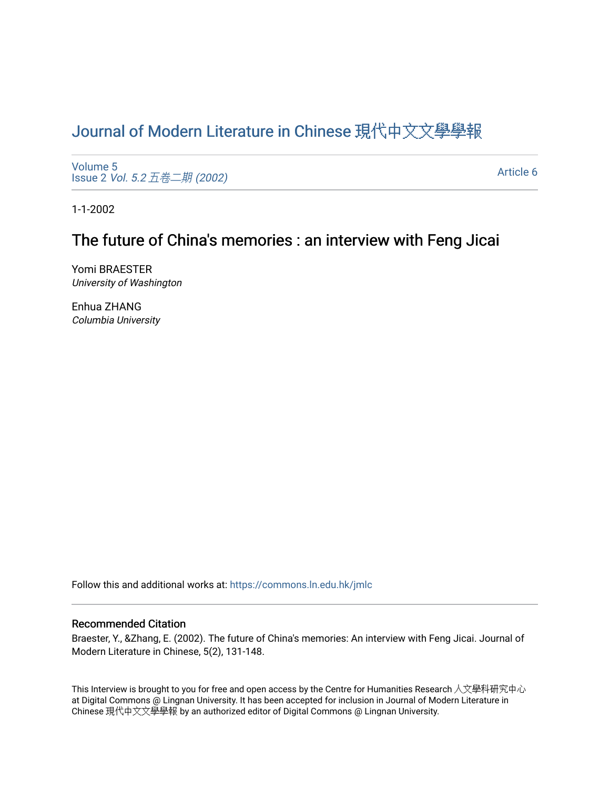# [Journal of Modern Literature in Chinese](https://commons.ln.edu.hk/jmlc) 現代中文文學學報

[Volume 5](https://commons.ln.edu.hk/jmlc/vol5) Issue 2 Vol. 5.2 [五卷二期](https://commons.ln.edu.hk/jmlc/vol5/iss2) (2002)

[Article 6](https://commons.ln.edu.hk/jmlc/vol5/iss2/6) 

1-1-2002

## The future of China's memories : an interview with Feng Jicai

Yomi BRAESTER University of Washington

Enhua ZHANG Columbia University

Follow this and additional works at: [https://commons.ln.edu.hk/jmlc](https://commons.ln.edu.hk/jmlc?utm_source=commons.ln.edu.hk%2Fjmlc%2Fvol5%2Fiss2%2F6&utm_medium=PDF&utm_campaign=PDFCoverPages) 

#### Recommended Citation

Braester, Y., &Zhang, E. (2002). The future of China's memories: An interview with Feng Jicai. Journal of Modern Literature in Chinese, 5(2), 131-148.

This Interview is brought to you for free and open access by the Centre for Humanities Research 人文學科研究中心 at Digital Commons @ Lingnan University. It has been accepted for inclusion in Journal of Modern Literature in Chinese 現代中文文學學報 by an authorized editor of Digital Commons @ Lingnan University.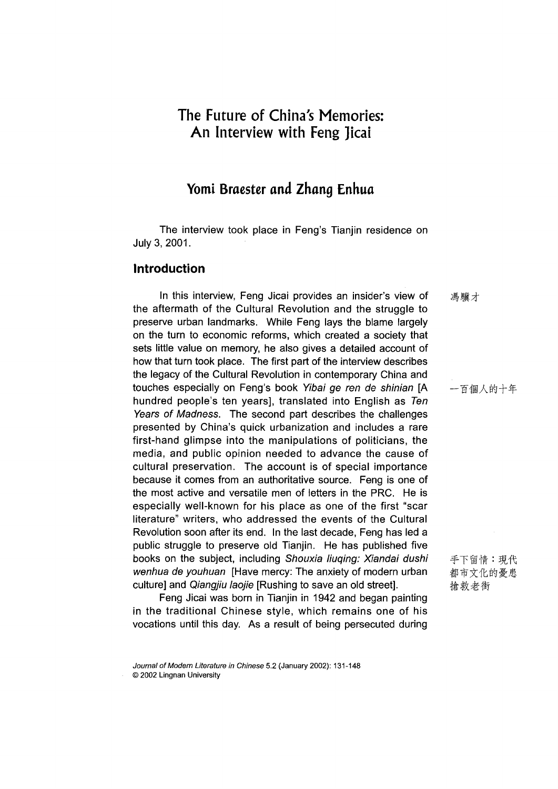## **The Future of China's Memories: An Interview with Feng ]icai**

### Yomi Braester and Zhang Enhua

The interview took place in Feng's Tianjin residence on July 3, 2001.

#### Introduction

In this interview, Feng Jicai provides an insider's view of the aftermath of the Cultural Revolution and the struggle to preserve urban landmarks. While Feng lays the blame largely on the turn to economic reforms, which created a society that sets little value on memory, he also gives a detailed account of how that turn took place. The first part of the interview describes the legacy of the Cultural Revolution in contemporary China and touches especially on Feng's book *Yibai ge ren de shinian* [A hundred people's ten years], translated into English as *Ten Years of Madness.* The second part describes the challenges presented by China's quick urbanization and includes a rare first-hand glimpse into the manipulations of politicians, the media, and public opinion needed to advance the cause of cultural preservation. The account is of special importance because it comes from an authoritative source. Feng is one of the most active and versatile men of letters in the PRC. He is especially well-known for his place as one of the first "scar literature" writers, who addressed the events of the Cultural Revolution soon after its end. In the last decade, Feng has led a public struggle to preserve old Tianjin. He has published five books on the subject, including *Shouxia liuqing: Xiandai dushi wenhua de youhuan* [Have mercy: The anxiety of modern urban culture] and *Qiangjiu laojie* [Rushing to save an old street].

Feng Jicai was born in Tianjin in 1942 and began painting in the traditional Chinese style, which remains one of his vocations until this day. As a result of being persecuted during

馮驥才

一百個人的十年

手下留情:現代 都市文化的憂患 搶救老街

*Journal of Modern Literature in Chinese* 5.2 (January 2002): 131-148 © 2002 Lingnan University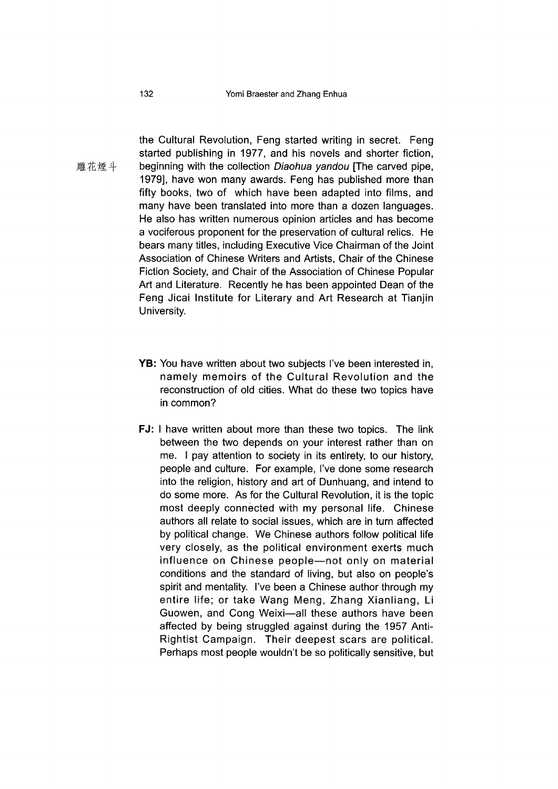the Cultural Revolution, Feng started writing in secret. Feng started publishing in 1977, and his novels and shorter fiction, 雕花煙斗 beginning with the collection Diaohua yandou [The carved pipe, 1979], have won many awards. Feng has published more than fifty books, two of which have been adapted into films, and many have been translated into more than a dozen languages. He also has written numerous opinion articles and has become a vociferous proponent for the preservation of cultural relics. He bears many titles, including Executive Vice Chairman of the Joint Association of Chinese Writers and Artists, Chair of the Chinese Fiction Society, and Chair of the Association of Chinese Popular Art and Literature. Recently he has been appointed Dean of the Feng Jicai Institute for Literary and Art Research at Tianjin University.

- YB: You have written about two subjects I've been interested in, namely memoirs of the Cultural Revolution and the reconstruction of old cities. What do these two topics have in common?
- FJ: I have written about more than these two topics. The link between the two depends on your interest rather than on me. I pay attention to society in its entirety, to our history, people and culture. For example, I've done some research into the religion, history and art of Dunhuang, and intend to do some more. As for the Cultural Revolution, it is the topic most deeply connected with my personal life. Chinese authors all relate to social issues, which are in turn affected by political change. We Chinese authors follow political life very closely, as the political environment exerts much influence on Chinese people—not only on material conditions and the standard of living, but also on people's spirit and mentality. I've been a Chinese author through my entire life; or take Wang Meng, Zhang Xianliang, Li Guowen, and Cong Weixi—all these authors have been affected by being struggled against during the 1957 Anti-Rightist Campaign. Their deepest scars are political. Perhaps most people wouldn't be so politically sensitive, but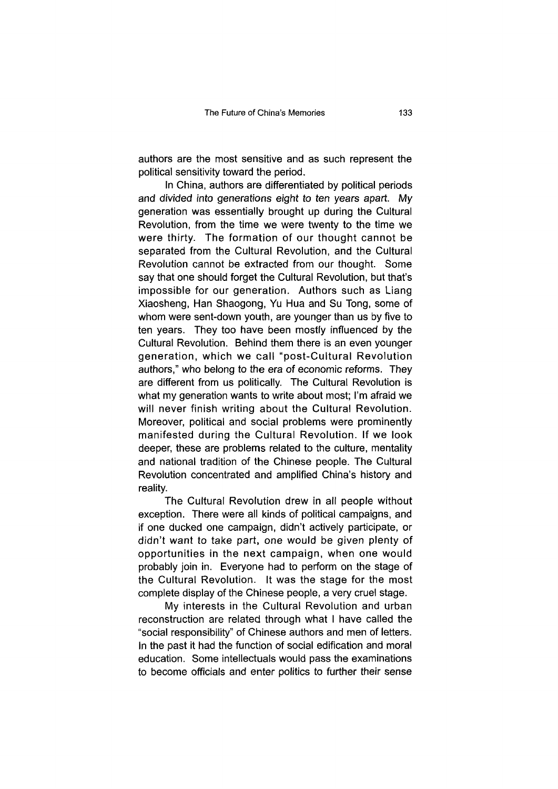authors are the most sensitive and as such represent the political sensitivity toward the period.

In China, authors are differentiated by political periods and divided into generations eight to ten years apart. My generation was essentially brought up during the Cultural Revolution, from the time we were twenty to the time we were thirty. The formation of our thought cannot be separated from the Cultural Revolution, and the Cultural Revolution cannot be extracted from our thought. Some say that one should forget the Cultural Revolution, but that's impossible for our generation. Authors such as Liang Xiaosheng, Han Shaogong, Yu Hua and Su Tong, some of whom were sent-down youth, are younger than us by five to ten years. They too have been mostly influenced by the Cultural Revolution. Behind them there is an even younger generation, which we call "post-Cultural Revolution authors," who belong to the era of economic reforms. They are different from us politically. The Cultural Revolution is what my generation wants to write about most; I'm afraid we will never finish writing about the Cultural Revolution. Moreover, political and social problems were prominently manifested during the Cultural Revolution. If we look deeper, these are problems related to the culture, mentality and national tradition of the Chinese people. The Cultural Revolution concentrated and amplified China's history and reality.

The Cultural Revolution drew in all people without exception. There were all kinds of political campaigns, and if one ducked one campaign, didn't actively participate, or didn't want to take part, one would be given plenty of opportunities in the next campaign, when one would probably join in. Everyone had to perform on the stage of the Cultural Revolution. It was the stage for the most complete display of the Chinese people, a very cruel stage.

My interests in the Cultural Revolution and urban reconstruction are related through what I have called the "social responsibility" of Chinese authors and men of letters. In the past it had the function of social edification and moral education. Some intellectuals would pass the examinations to become officials and enter politics to further their sense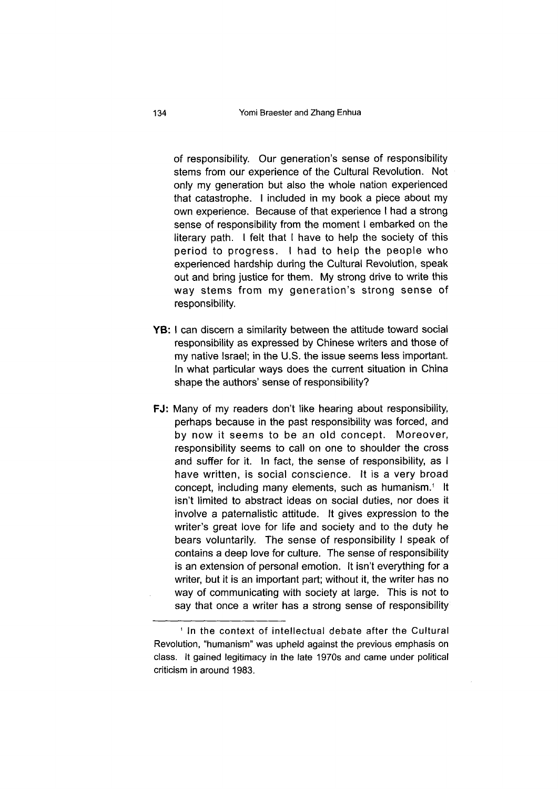of responsibility. Our generation's sense of responsibility stems from our experience of the Cultural Revolution. Not only my generation but also the whole nation experienced that catastrophe. I included in my book a piece about my own experience. Because of that experience I had a strong sense of responsibility from the moment I embarked on the literary path. I felt that I have to help the society of this period to progress. I had to help the people who experienced hardship during the Cultural Revolution, speak out and bring justice for them. My strong drive to write this way stems from my generation's strong sense of responsibility.

- YB: I can discern a similarity between the attitude toward social responsibility as expressed by Chinese writers and those of my native Israel; in the U.S. the issue seems less important. In what particular ways does the current situation in China shape the authors' sense of responsibility?
- FJ: Many of my readers don't like hearing about responsibility, perhaps because in the past responsibility was forced, and by now it seems to be an old concept. Moreover, responsibility seems to call on one to shoulder the cross and suffer for it. In fact, the sense of responsibility, as I have written, is social conscience. It is a very broad concept, including many elements, such as humanism.<sup>1</sup> It isn't limited to abstract ideas on social duties, nor does it involve a paternalistic attitude. It gives expression to the writer's great iove for life and society and to the duty he bears voluntarily. The sense of responsibility I speak of contains a deep love for culture. The sense of responsibility is an extension of personal emotion. It isn't everything for a writer, but it is an important part; without it, the writer has no way of communicating with society at large. This is not to say that once a writer has a strong sense of responsibility

<sup>1</sup> In the context of intellectual debate after the Cultural Revolution, "humanism" was upheld against the previous emphasis on class. It gained legitimacy in the late 1970s and came under political criticism in around 1983.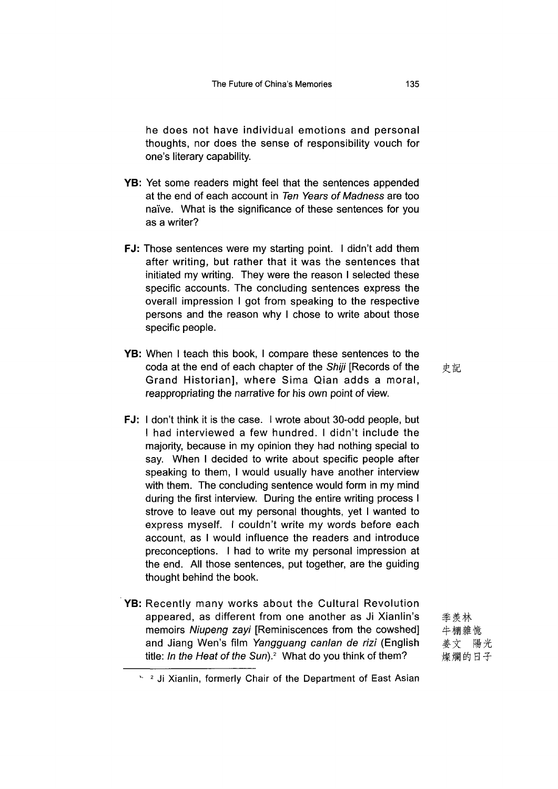he does not have individual emotions and personal thoughts, nor does the sense of responsibility vouch for one's literary capability.

- YB: Yet some readers might feel that the sentences appended at the end of each account in *Ten Years of Madness* are too naive. What is the significance of these sentences for you as a writer?
- FJ: Those sentences were my starting point. I didn't add them after writing, but rather that it was the sentences that initiated my writing. They were the reason I selected these specific accounts. The concluding sentences express the overall impression I got from speaking to the respective persons and the reason why I chose to write about those specific people.
- YB: When I teach this book, I compare these sentences to the coda at the end of each chapter of the *Shiji* [Records of the Grand Historian], where Sima Qian adds a moral, reappropriating the narrative for his own point of view.
- 史記
- FJ: I don't think it is the case. I wrote about 30-odd people, but I had interviewed a few hundred. I didn't include the majority, because in my opinion they had nothing special to say. When I decided to write about specific people after speaking to them, I would usually have another interview with them. The concluding sentence would form in my mind during the first interview. During the entire writing process I strove to leave out my personal thoughts, yet I wanted to express myself. I couldn't write my words before each account, as I would influence the readers and introduce preconceptions. I had to write my personal impression at the end. All those sentences, put together, are the guiding thought behind the book.
- YB: Recently many works about the Cultural Revolution appeared, as different from one another as Ji Xianlin's memoirs *Niupeng zayi* [Reminiscences from the cowshed] and Jiang Wen's film *Yangguang canlan de rizi* (English title: *In the Heat of the Sun).2* What do you think of them?

季羨林 牛棚雜憶 姜文 陽光 燦爛的日子

 $\frac{1}{2}$  Ji Xianlin, formerly Chair of the Department of East Asian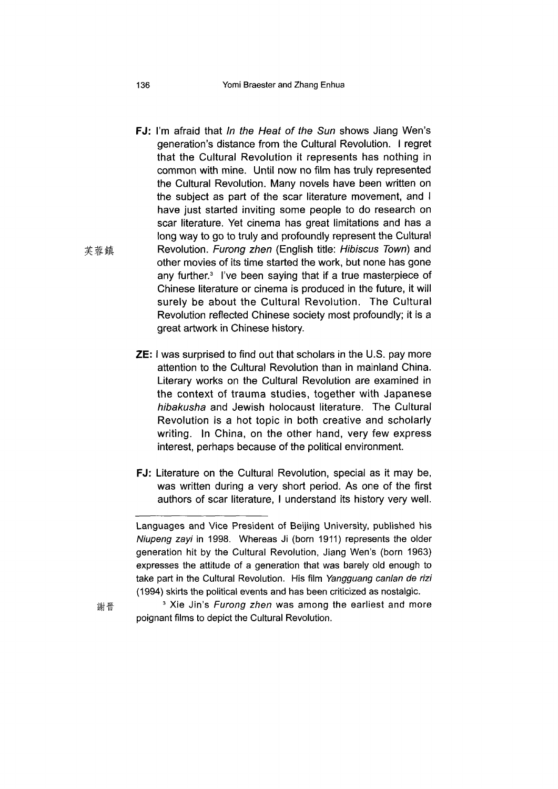#### 136 Yomi Braester and Zhang Enhua

- 芙蓉鎮 FJ: I'm afraid that *In the Heat of the Sun* shows Jiang Wen's generation's distance from the Cultural Revolution. I regret that the Cultural Revolution it represents has nothing in common with mine. Until now no film has truly represented the Cultural Revolution. Many novels have been written on the subject as part of the scar literature movement, and I have just started inviting some people to do research on scar literature. Yet cinema has great limitations and has a long way to go to truly and profoundly represent the Cultural Revolution. *Furong zhen* (English title: *Hibiscus Town*) and other movies of its time started the work, but none has gone any further.<sup>3</sup> I've been saying that if a true masterpiece of Chinese literature or cinema is produced in the future, it will surely be about the Cultural Revolution. The Cultural Revolution reflected Chinese society most profoundly; it is a great artwork in Chinese history.
	- **ZE:** I was surprised to find out that scholars in the U.S. pay more attention to the Cultural Revolution than in mainland China. Literary works on the Cultural Revolution are examined in the context of trauma studies, together with Japanese *hibakusha* and Jewish holocaust literature. The Cultural Revolution is a hot topic in both creative and scholarly writing. In China, on the other hand, very few express interest, perhaps because of the political environment.
	- FJ: Literature on the Cultural Revolution, special as it may be, was written during a very short period. As one of the first authors of scar literature, I understand its history very well.

謝晉

Languages and Vice President of Beijing University, published his *Niupeng zayi* in 1998. Whereas Ji (born 1911) represents the older generation hit by the Cultural Revolution, Jiang Wen's (bom 1963) expresses the attitude of a generation that was barely old enough to take part in the Cultural Revolution. His film *Yangguang canlan de rizi* (1994) skirts the political events and has been criticized as nostalgic.

<sup>&</sup>lt;sup>3</sup> Xie Jin's *Furong zhen* was among the earliest and more poignant films to depict the Cultural Revolution.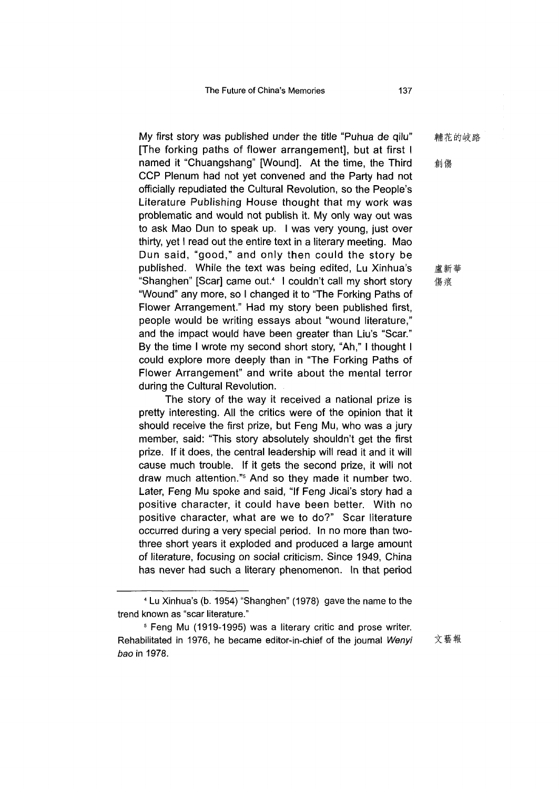My first story was published under the title "Puhua de qilu" [The forking paths of flower arrangement], but at first I named it "Chuangshang" [Wound]. At the time, the Third CCP Plenum had not yet convened and the Party had not officially repudiated the Cultural Revolution, so the People's Literature Publishing House thought that my work was problematic and would not publish it. My only way out was to ask Mao Dun to speak up. I was very young, just over thirty, yet I read out the entire text in a literary meeting. Mao Dun said, "good," and only then could the story be published. While the text was being edited, Lu Xinhua's "Shanghen" [Scar] came out.<sup>4</sup> 1 couldn't call my short story "Wound" any more, so I changed it to "The Forking Paths of Flower Arrangement." Had my story been published first, people would be writing essays about "wound literature," and the impact would have been greater than Liu's "Scar." By the time I wrote my second short story, "Ah," I thought I could explore more deeply than in "The Forking Paths of Flower Arrangement" and write about the mental terror during the Cultural Revolution.

The story of the way it received a national prize is pretty interesting. All the critics were of the opinion that it should receive the first prize, but Feng Mu, who was a jury member, said: "This story absolutely shouldn't get the first prize. If it does, the central leadership will read it and it will cause much trouble. If it gets the second prize, it will not draw much attention."<sup>5</sup> And so they made it number two. Later, Feng Mu spoke and said, "If Feng Jicai's story had a positive character, it could have been better. With no positive character, what are we to do?" Scar literature occurred during a very special period. In no more than twothree short years it exploded and produced a large amount of literature, focusing on social criticism. Since 1949, China has never had such a literary phenomenon. In that period

輔花的岐路

創傷

盧新華 傷痕

文藝報

<sup>4</sup> Lu Xinhua's (b. 1954) "Shanghen" 1978) gave the name to the trend known as "scar literature."

<sup>&</sup>lt;sup>5</sup> Feng Mu (1919-1995) was a literary critic and prose writer. Rehabilitated in 1976, he became editor-in-chief of the journal Wenyi *bao* in 1978.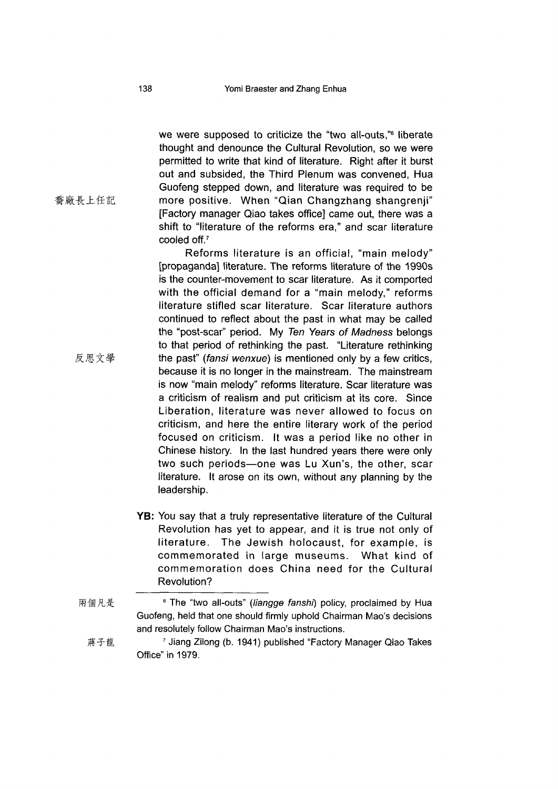we were supposed to criticize the "two all-outs,"<sup>6</sup> liberate thought and denounce the Cultural Revolution, so we were permitted to write that kind of literature. Right after it burst out and subsided, the Third Plenum was convened, Hua Guofeng stepped down, and literature was required to be more positive. When "Qian Changzhang shangrenji" [Factory manager Qiao takes office] came out, there was a shift to "literature of the reforms era," and scar literature cooled off.7

Reforms literature is an official, "main melody" [propaganda] literature. The reforms literature of the 1990s is the counter-movement to scar literature. As it comported with the official demand for a "main melody," reforms literature stifled scar literature. Scar literature authors continued to reflect about the past in what may be called the "post-scar" period. My *Ten Years of Madness* belongs to that period of rethinking the past. "Literature rethinking the past" *(fansi wenxue)* is mentioned only by a few critics, because it is no longer in the mainstream. The mainstream is now "main melody" reforms literature. Scar literature was a criticism of realism and put criticism at its core. Since Liberation, literature was never allowed to focus on criticism, and here the entire literary work of the period focused on criticism. It was a period like no other in Chinese history. In the last hundred years there were only two such periods—one was Lu Xun's, the other, scar literature. It arose on its own, without any planning by the leadership.

YB: You say that a truly representative literature of the Cultural Revolution has yet to appear, and it is true not only of literature. The Jewish holocaust, for example, is commemorated in large museums. What kind of commemoration does China need for the Cultural Revolution?

喬廠長上任記

- 反思文學
- 

兩個凡是 <sup>6</sup> The "two all-outs" (liangge fanshi) policy, proclaimed by Hua Guofeng, held that one should firmly uphold Chairman Mao's decisions and resolutely follow Chairman Mao's instructions.

蔣子龍 <sup>7</sup> Jiang Zilong (b. 1941) published "Factory Manager Qiao Takes Office" in 1979.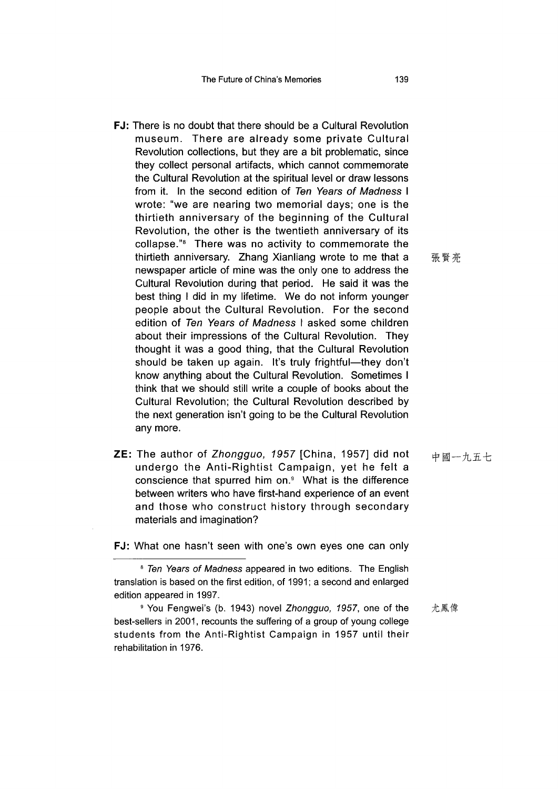- FJ: There is no doubt that there should be a Cultural Revolution museum. There are already some private Cultural Revolution collections, but they are a bit problematic, since they collect personal artifacts, which cannot commemorate the Cultural Revolution at the spiritual level or draw lessons from it. In the second edition of *Ten Years of Madness* I wrote: "we are nearing two memorial days; one is the thirtieth anniversary of the beginning of the Cultural Revolution, the other is the twentieth anniversary of its collapse."8 There was no activity to commemorate the thirtieth anniversary. Zhang Xianliang wrote to me that a newspaper article of mine was the only one to address the Cultural Revolution during that period. He said it was the best thing I did in my lifetime. We do not inform younger people about the Cultural Revolution. For the second edition of *Ten Years of Madness* I asked some children about their impressions of the Cultural Revolution. They thought it was a good thing, that the Cultural Revolution should be taken up again. It's truly frightful—they don't know anything about the Cultural Revolution. Sometimes I think that we should still write a couple of books about the Cultural Revolution; the Cultural Revolution described by the next generation isn't going to be the Cultural Revolution any more.
- ZE: The author of *Zhongguo, 1957* [China, 1957] did not undergo the Anti-Rightist Campaign, yet he felt a conscience that spurred him on.9 What is the difference between writers who have first-hand experience of an event and those who construct history through secondary materials and imagination?

FJ: What one hasn't seen with one's own eyes one can only

張賢亮

中國一九五七

<sup>8</sup> *Ten Years of Madness* appeared in two editions. The English translation is based on the first edition, of 1991; a second and enlarged edition appeared in 1997.

<sup>9</sup> You Fengwei's (b. 1943) novel *Zhongguo, 1957,* one of the best-sellers in 2001, recounts the suffering of a group of young college students from the Anti-Rightist Campaign in 1957 until their rehabilitation in 1976. 尤鳳偉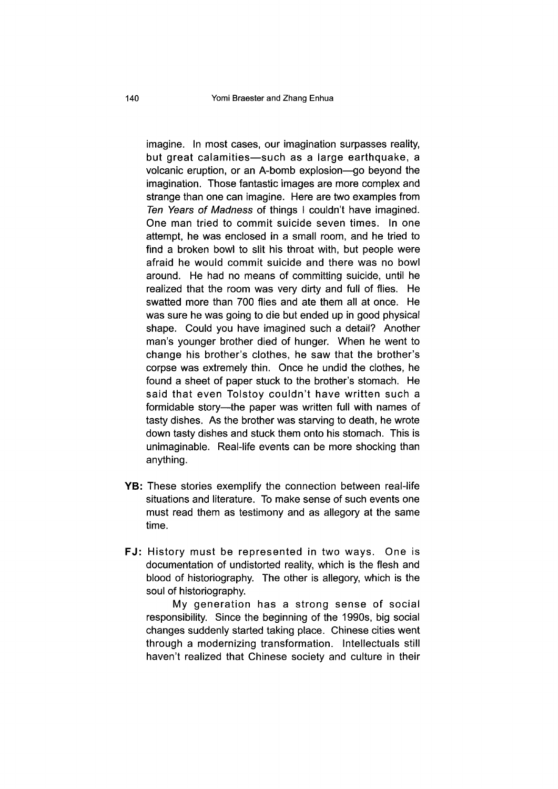imagine. In most cases, our imagination surpasses reality, but great calamities—such as a large earthquake, a volcanic eruption, or an A-bomb explosion—go beyond the imagination. Those fantastic images are more complex and strange than one can imagine. Here are two examples from *Ten Years of Madness* of things I couldn't have imagined. One man tried to commit suicide seven times. In one attempt, he was enclosed in a small room, and he tried to find a broken bowl to slit his throat with, but people were afraid he would commit suicide and there was no bowl around. He had no means of committing suicide, until he realized that the room was very dirty and full of flies. He swatted more than 700 flies and ate them all at once. He was sure he was going to die but ended up in good physical shape. Could you have imagined such a detail? Another man's younger brother died of hunger. When he went to change his brother's clothes, he saw that the brother's corpse was extremely thin. Once he undid the clothes, he found a sheet of paper stuck to the brother's stomach. He said that even Tolstoy couldn't have written such a formidable story—the paper was written full with names of tasty dishes. As the brother was starving to death, he wrote down tasty dishes and stuck them onto his stomach. This is unimaginable. Real-life events can be more shocking than anything.

- YB: These stories exemplify the connection between real-life situations and literature. To make sense of such events one must read them as testimony and as allegory at the same time.
- FJ: History must be represented in two ways. One is documentation of undistorted reality, which is the flesh and blood of historiography. The other is allegory, which is the soul of historiography.

My generation has a strong sense of social responsibility. Since the beginning of the 1990s, big social changes suddenly started taking place. Chinese cities went through a modernizing transformation. Intellectuals still haven't realized that Chinese society and culture in their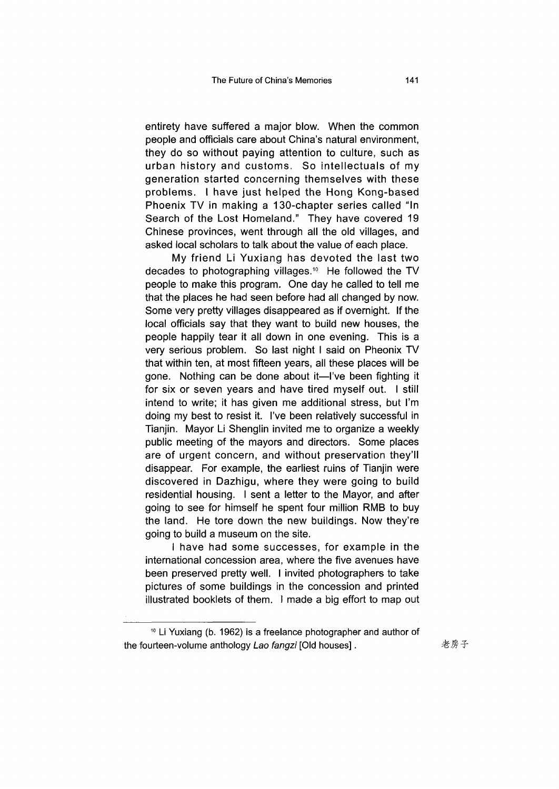entirety have suffered a major blow. When the common people and officials care about China's natural environment, they do so without paying attention to culture, such as urban history and customs. So intellectuals of my generation started concerning themselves with these problems. I have just helped the Hong Kong-based Phoenix TV in making a 130-chapter series called "In Search of the Lost Homeland." They have covered 19 Chinese provinces, went through all the old villages, and asked local scholars to talk about the value of each place.

My friend Li Yuxiang has devoted the last two decades to photographing villages.10 He followed the TV people to make this program. One day he called to tell me that the places he had seen before had all changed by now. Some very pretty villages disappeared as if overnight. If the local officials say that they want to build new houses, the people happily tear it all down in one evening. This is a very serious problem. So last night I said on Pheonix TV that within ten, at most fifteen years, all these places will be gone. Nothing can be done about it—I've been fighting it for six or seven years and have tired myself out. I still intend to write; it has given me additional stress, but I'm doing my best to resist it. I've been relatively successful in Tianjin. Mayor Li Shenglin invited me to organize a weekly public meeting of the mayors and directors. Some places are of urgent concern, and without preservation they'll disappear. For example, the earliest ruins of Tianjin were discovered in Dazhigu, where they were going to build residential housing. I sent a letter to the Mayor, and after going to see for himself he spent four million RMB to buy the land. He tore down the new buildings. Now they're going to build a museum on the site.

I have had some successes, for example in the international concession area, where the five avenues have been preserved pretty well. I invited photographers to take pictures of some buildings in the concession and printed illustrated booklets of them. I made a big effort to map out

<sup>10</sup> Li Yuxiang (b. 1962) is a freelance photographer and author of the fourteen-volume anthology *Lao fangzi* [Old houses]. 老房子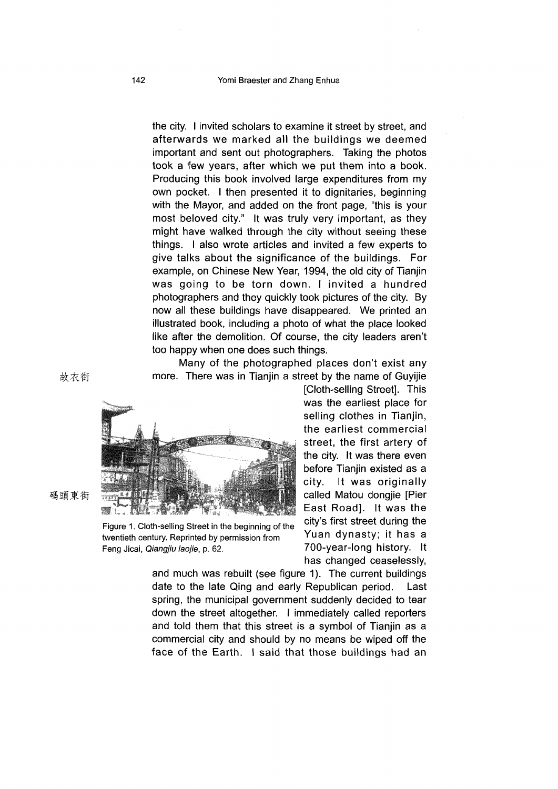the city. I invited scholars to examine it street by street, and afterwards we marked all the buildings we deemed important and sent out photographers. Taking the photos took a few years, after which we put them into a book. Producing this book involved large expenditures from my own pocket. I then presented it to dignitaries, beginning with the Mayor, and added on the front page, "this is your most beloved city." It was truly very important, as they might have walked through the city without seeing these things. I also wrote articles and invited a few experts to give talks about the significance of the buildings. For example, on Chinese New Year, 1994, the old city of Tianjin was going to be torn down. I invited a hundred photographers and they quickly took pictures of the city. By now all these buildings have disappeared. We printed an illustrated book, including a photo of what the place looked like after the demolition. Of course, the city leaders aren't too happy when one does such things.

Many of the photographed places don't exist any more. There was in Tianjin a street by the name of Guyijie

> [Cloth-selling Street]. This was the earliest place for selling clothes in Tianjin, the earliest commercial street, the first artery of the city. It was there even before Tianjin existed as a city. It was originally called Matou dongjie [Pier East Road]. It was the city's first street during the Yuan dynasty; it has a 700-year-long history. It has changed ceaselessly,

and much was rebuilt (see figure 1). The current buildings date to the late Qing and early Republican period. Last spring, the municipal government suddenly decided to tear down the street altogether. I immediately called reporters and told them that this street is a symbol of Tianjin as a commercial city and should by no means be wiped off the face of the Earth. I said that those buildings had an

故衣街

碼頭東街



I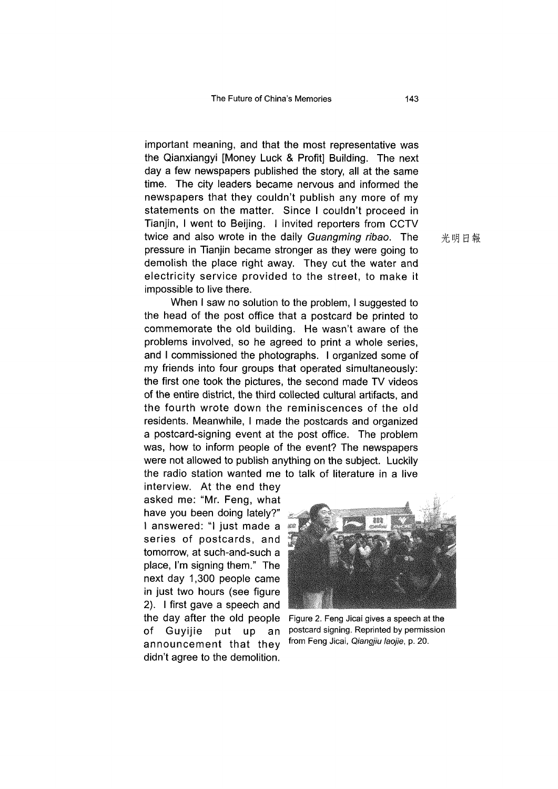important meaning, and that the most representative was the Qianxiangyi [Money Luck & Profit] Building. The next day a few newspapers published the story, all at the same time. The city leaders became nervous and informed the newspapers that they couldn't publish any more of my statements on the matter. Since I couldn't proceed in Tianjin, I went to Beijing. I invited reporters from CCTV twice and also wrote in the daily *Guangming ribao*. The 光明日報 pressure in Tianjin became stronger as they were going to demolish the place right away. They cut the water and electricity service provided to the street, to make it impossible to live there.

When I saw no solution to the problem, I suggested to the head of the post office that a postcard be printed to commemorate the old building. He wasn't aware of the problems involved, so he agreed to print a whole series, and I commissioned the photographs. I organized some of my friends into four groups that operated simultaneously: the first one took the pictures, the second made TV videos of the entire district, the third collected cultural artifacts, and the fourth wrote down the reminiscences of the old residents. Meanwhile, I made the postcards and organized a postcard-signing event at the post office. The problem was, how to inform people of the event? The newspapers were not allowed to publish anything on the subject. Luckily the radio station wanted me to talk of literature in a live

interview. At the end they asked me: "Mr. Feng, what have you been doing lately?" I answered: "l just made a series of postcards, and tomorrow, at such-and-such a place, I'm signing them." The next day 1,300 people came in just two hours (see figure 2). I first gave a speech and the day after the Old people Figure 2. Feng Jicai gives a speech at the announcement that they from Feng Jicai, *Qiangjiu laojie*, p. 20. didn't agree to the demolition.



of Guyijie put up an postcard signing. Reprinted by permission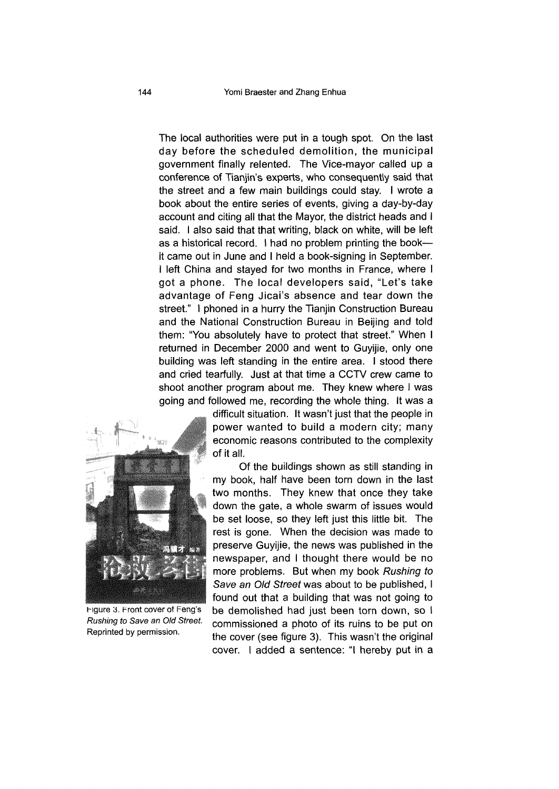The local authorities were put in a tough spot. On the last day before the scheduled demolition, the municipal government finally relented. The Vice-mayor called up a conference of Tianjin's experts, who consequently said that the street and a few main buildings could stay. I wrote a book about the entire series of events, giving a day-by-day account and citing all that the Mayor, the district heads and I said. I also said that that writing, black on white, will be left as a historical record. I had no problem printing the book it came out in June and I held a book-signing in September. I left China and stayed for two months in France, where I got a phone. The local developers said, "Let's take advantage of Feng Jicai's absence and tear down the street." I phoned in a hurry the Tianjin Construction Bureau and the National Construction Bureau in Beijing and told them: "You absolutely have to protect that street." When I returned in December 2000 and went to Guyijie, only one building was left standing in the entire area. I stood there and cried tearfully. Just at that time a CCTV crew came to shoot another program about me. They knew where I was going and followed me, recording the whole thing. It was a



 Igure 3. Front cover of Feng's *Rushing to Save an Old Street* Reprinted by permission.

difficult situation. It wasn't just that the people in power wanted to build a modern city; many economic reasons contributed to the complexity of it all.

Of the buildings shown as still standing in my book, half have been torn down in the last two months. They knew that once they take down the gate, a whole swarm of issues would be set loose, so they left just this little bit. The rest is gone. When the decision was made to preserve Guyijie, the news was published in the newspaper, and I thought there would be no more problems. But when my book *Rushing to Save an Old Street was* about to be published, I found out that a building that was not going to be demolished had just been torn down, so I commissioned a photo of its ruins to be put on the cover (see figure 3). This wasn't the original cover. I added a sentence: "I hereby put in a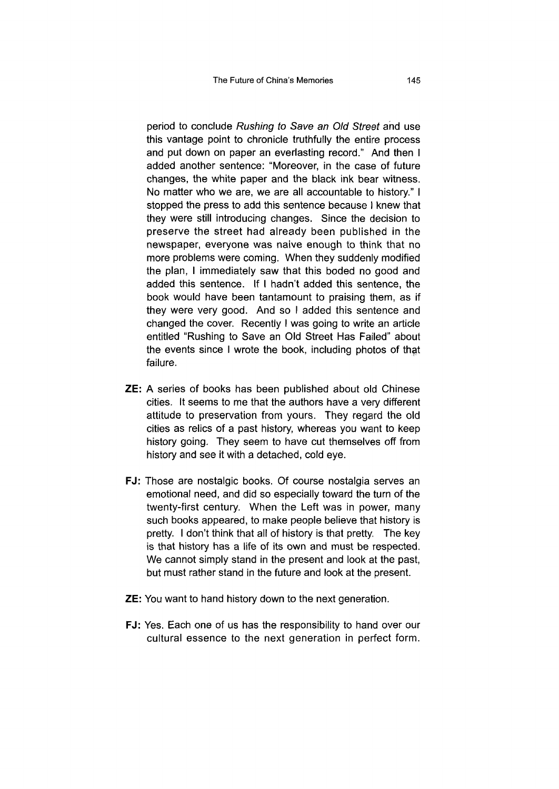period to conclude *Rushing to Save an Old Street* and use this vantage point to chronicle truthfully the entire process and put down on paper an everlasting record." And then I added another sentence: "Moreover, in the case of future changes, the white paper and the black ink bear witness. No matter who we are, we are all accountable to history." I stopped the press to add this sentence because I knew that they were still introducing changes. Since the decision to preserve the street had already been published in the newspaper, everyone was naive enough to think that no more problems were coming. When they suddenly modified the plan, I immediately saw that this boded no good and added this sentence. If I hadn't added this sentence, the book would have been tantamount to praising them, as if they were very good. And so I added this sentence and changed the cover. Recently I was going to write an article entitled "Rushing to Save an Old Street Has Failed" about the events since I wrote the book, including photos of that failure.

- ZE: A series of books has been published about old Chinese cities. It seems to me that the authors have a very different attitude to preservation from yours. They regard the old cities as relics of a past history, whereas you want to keep history going. They seem to have cut themselves off from history and see it with a detached, cold eye.
- FJ: Those are nostalgic books. Of course nostalgia serves an emotional need, and did so especially toward the turn of the twenty-first century. When the Left was in power, many such books appeared, to make people believe that history is pretty. I don't think that all of history is that pretty. The key is that history has a life of its own and must be respected. We cannot simply stand in the present and look at the past, but must rather stand in the future and look at the present.
- **ZE:** You want to hand history down to the next generation.
- FJ: Yes. Each one of us has the responsibility to hand over our cultural essence to the next generation in perfect form.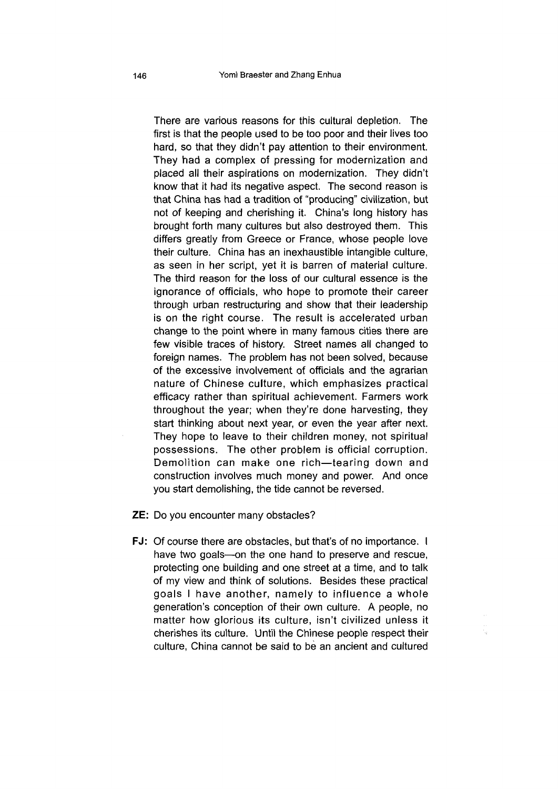There are various reasons for this cultural depletion. The first is that the people used to be too poor and their lives too hard, so that they didn't pay attention to their environment. They had a complex of pressing for modernization and placed all their aspirations on modernization. They didn't know that it had its negative aspect. The second reason is that China has had a tradition of "producing" civilization, but not of keeping and cherishing it. China's long history has brought forth many cultures but also destroyed them. This differs greatly from Greece or France, whose people love their culture. China has an inexhaustible intangible culture, as seen in her script, yet it is barren of material culture. The third reason for the loss of our cultural essence is the ignorance of officials, who hope to promote their career through urban restructuring and show that their leadership is on the right course. The result is accelerated urban change to the point where in many famous cities there are few visible traces of history. Street names all changed to foreign names. The problem has not been solved, because of the excessive involvement of officials and the agrarian nature of Chinese culture, which emphasizes practical efficacy rather than spiritual achievement. Farmers work throughout the year; when they're done harvesting, they start thinking about next year, or even the year after next. They hope to leave to their children money, not spiritual possessions. The other problem is official corruption. Demolition can make one rich—tearing down and construction involves much money and power. And once you start demolishing, the tide cannot be reversed.

ZE: Do you encounter many obstacles?

FJ: Of course there are obstacles, but that's of no importance. I have two goals—on the one hand to preserve and rescue, protecting one building and one street at a time, and to talk of my view and think of solutions. Besides these practical goals I have another, namely to influence a whole generation's conception of their own culture. A people, no matter how glorious its culture, isn't civilized unless it cherishes its culture. Until the Chinese people respect their culture, China cannot be said to be an ancient and cultured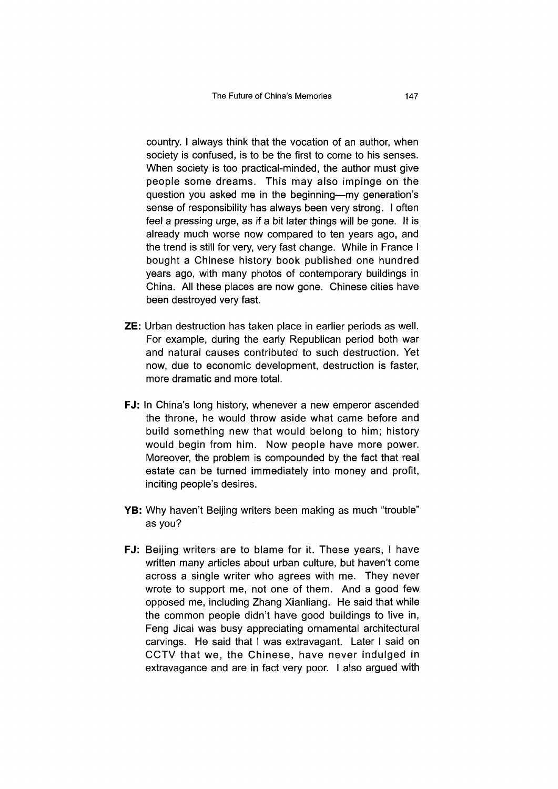country. I always think that the vocation of an author, when society is confused, is to be the first to come to his senses. When society is too practical-minded, the author must give people some dreams. This may also impinge on the question you asked me in the beginning—my generation's sense of responsibility has always been very strong. I often feel a pressing urge, as if a bit later things will be gone. It is already much worse now compared to ten years ago, and the trend is still for very, very fast change. While in France I bought a Chinese history book published one hundred years ago, with many photos of contemporary buildings in China. All these places are now gone. Chinese cities have been destroyed very fast.

- ZE: Urban destruction has taken place in earlier periods as well. For example, during the early Republican period both war and natural causes contributed to such destruction. Yet now, due to economic development, destruction is faster, more dramatic and more total.
- FJ: In China's long history, whenever a new emperor ascended the throne, he would throw aside what came before and build something new that would belong to him; history would begin from him. Now people have more power. Moreover, the problem is compounded by the fact that real estate can be turned immediately into money and profit, inciting people's desires.
- YB: Why haven't Beijing writers been making as much "trouble" as you?
- FJ: Beijing writers are to blame for it. These years, I have written many articles about urban culture, but haven't come across a single writer who agrees with me. They never wrote to support me, not one of them. And a good few opposed me, including Zhang Xianliang. He said that while the common people didn't have good buildings to live in, Feng Jicai was busy appreciating ornamental architectural carvings. He said that I was extravagant. Later I said on CCTV that we, the Chinese, have never indulged in extravagance and are in fact very poor. I also argued with